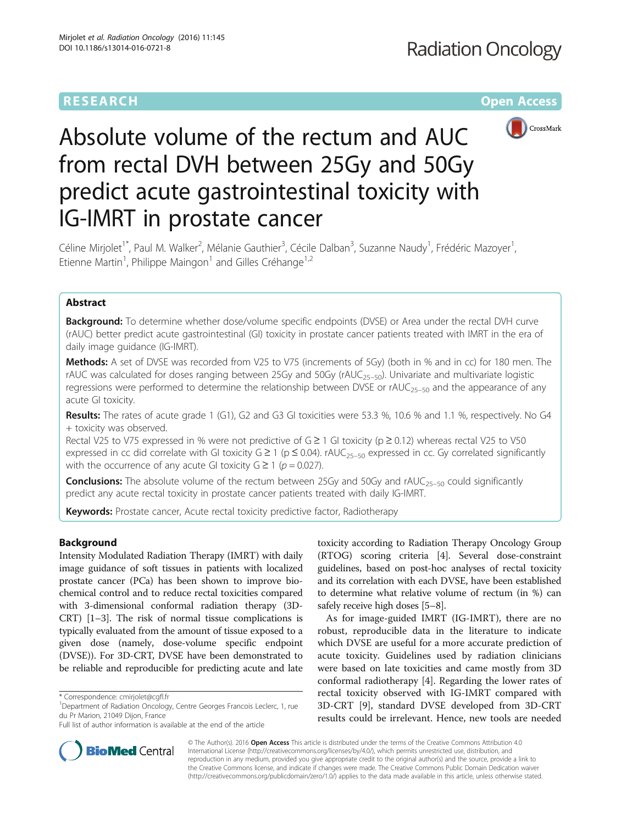## **RESEARCH CHE Open Access**



# Absolute volume of the rectum and AUC from rectal DVH between 25Gy and 50Gy predict acute gastrointestinal toxicity with IG-IMRT in prostate cancer

Céline Mirjolet<sup>1\*</sup>, Paul M. Walker<sup>2</sup>, Mélanie Gauthier<sup>3</sup>, Cécile Dalban<sup>3</sup>, Suzanne Naudy<sup>1</sup>, Frédéric Mazoyer<sup>1</sup> , Etienne Martin<sup>1</sup>, Philippe Maingon<sup>1</sup> and Gilles Créhange<sup>1,2</sup>

## Abstract

**Background:** To determine whether dose/volume specific endpoints (DVSE) or Area under the rectal DVH curve (rAUC) better predict acute gastrointestinal (GI) toxicity in prostate cancer patients treated with IMRT in the era of daily image guidance (IG-IMRT).

Methods: A set of DVSE was recorded from V25 to V75 (increments of 5Gy) (both in % and in cc) for 180 men. The rAUC was calculated for doses ranging between 25Gy and 50Gy (rAUC<sub>25–50</sub>). Univariate and multivariate logistic regressions were performed to determine the relationship between DVSE or rAUC<sub>25–50</sub> and the appearance of any acute GI toxicity.

Results: The rates of acute grade 1 (G1), G2 and G3 GI toxicities were 53.3 %, 10.6 % and 1.1 %, respectively. No G4 + toxicity was observed.

Rectal V25 to V75 expressed in % were not predictive of G  $\geq$  1 GI toxicity (p  $\geq$  0.12) whereas rectal V25 to V50 expressed in cc did correlate with GI toxicity  $G \ge 1$  (p  $\le 0.04$ ). rAUC<sub>25-50</sub> expressed in cc. Gy correlated significantly with the occurrence of any acute GI toxicity  $G \geq 1$  ( $p = 0.027$ ).

**Conclusions:** The absolute volume of the rectum between 25Gy and 50Gy and rAUC<sub>25–50</sub> could significantly predict any acute rectal toxicity in prostate cancer patients treated with daily IG-IMRT.

Keywords: Prostate cancer, Acute rectal toxicity predictive factor, Radiotherapy

## Background

Intensity Modulated Radiation Therapy (IMRT) with daily image guidance of soft tissues in patients with localized prostate cancer (PCa) has been shown to improve biochemical control and to reduce rectal toxicities compared with 3-dimensional conformal radiation therapy (3D-CRT) [\[1](#page-5-0)–[3\]](#page-5-0). The risk of normal tissue complications is typically evaluated from the amount of tissue exposed to a given dose (namely, dose-volume specific endpoint (DVSE)). For 3D-CRT, DVSE have been demonstrated to be reliable and reproducible for predicting acute and late

toxicity according to Radiation Therapy Oncology Group (RTOG) scoring criteria [\[4](#page-5-0)]. Several dose-constraint guidelines, based on post-hoc analyses of rectal toxicity and its correlation with each DVSE, have been established to determine what relative volume of rectum (in %) can safely receive high doses [\[5](#page-5-0)–[8\]](#page-5-0).

As for image-guided IMRT (IG-IMRT), there are no robust, reproducible data in the literature to indicate which DVSE are useful for a more accurate prediction of acute toxicity. Guidelines used by radiation clinicians were based on late toxicities and came mostly from 3D conformal radiotherapy [[4\]](#page-5-0). Regarding the lower rates of rectal toxicity observed with IG-IMRT compared with 3D-CRT [[9\]](#page-5-0), standard DVSE developed from 3D-CRT results could be irrelevant. Hence, new tools are needed



© The Author(s). 2016 Open Access This article is distributed under the terms of the Creative Commons Attribution 4.0 International License [\(http://creativecommons.org/licenses/by/4.0/](http://creativecommons.org/licenses/by/4.0/)), which permits unrestricted use, distribution, and reproduction in any medium, provided you give appropriate credit to the original author(s) and the source, provide a link to the Creative Commons license, and indicate if changes were made. The Creative Commons Public Domain Dedication waiver [\(http://creativecommons.org/publicdomain/zero/1.0/](http://creativecommons.org/publicdomain/zero/1.0/)) applies to the data made available in this article, unless otherwise stated.

<sup>\*</sup> Correspondence: [cmirjolet@cgfl.fr](mailto:cmirjolet@cgfl.fr) <sup>1</sup>

<sup>&</sup>lt;sup>1</sup>Department of Radiation Oncology, Centre Georges Francois Leclerc, 1, rue du Pr Marion, 21049 Dijon, France

Full list of author information is available at the end of the article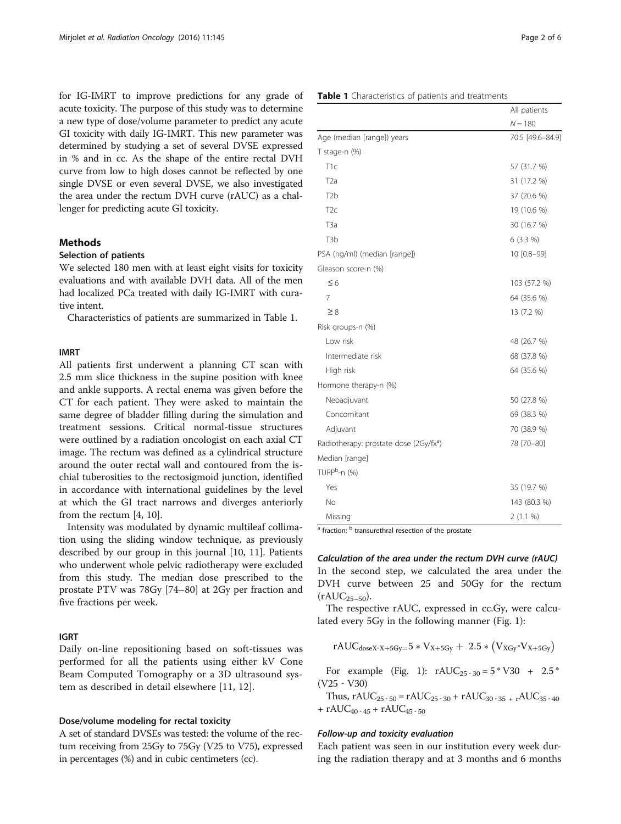for IG-IMRT to improve predictions for any grade of acute toxicity. The purpose of this study was to determine a new type of dose/volume parameter to predict any acute GI toxicity with daily IG-IMRT. This new parameter was determined by studying a set of several DVSE expressed in % and in cc. As the shape of the entire rectal DVH curve from low to high doses cannot be reflected by one single DVSE or even several DVSE, we also investigated the area under the rectum DVH curve (rAUC) as a challenger for predicting acute GI toxicity.

## **Methods**

## Selection of patients

We selected 180 men with at least eight visits for toxicity evaluations and with available DVH data. All of the men had localized PCa treated with daily IG-IMRT with curative intent.

Characteristics of patients are summarized in Table 1.

## IMRT

All patients first underwent a planning CT scan with 2.5 mm slice thickness in the supine position with knee and ankle supports. A rectal enema was given before the CT for each patient. They were asked to maintain the same degree of bladder filling during the simulation and treatment sessions. Critical normal-tissue structures were outlined by a radiation oncologist on each axial CT image. The rectum was defined as a cylindrical structure around the outer rectal wall and contoured from the ischial tuberosities to the rectosigmoid junction, identified in accordance with international guidelines by the level at which the GI tract narrows and diverges anteriorly from the rectum [[4, 10](#page-5-0)].

Intensity was modulated by dynamic multileaf collimation using the sliding window technique, as previously described by our group in this journal [[10](#page-5-0), [11](#page-5-0)]. Patients who underwent whole pelvic radiotherapy were excluded from this study. The median dose prescribed to the prostate PTV was 78Gy [74–80] at 2Gy per fraction and five fractions per week.

## IGRT

Daily on-line repositioning based on soft-tissues was performed for all the patients using either kV Cone Beam Computed Tomography or a 3D ultrasound system as described in detail elsewhere [[11, 12\]](#page-5-0).

## Dose/volume modeling for rectal toxicity

A set of standard DVSEs was tested: the volume of the rectum receiving from 25Gy to 75Gy (V25 to V75), expressed in percentages (%) and in cubic centimeters (cc).

|                                                    | $N = 180$        |  |  |  |
|----------------------------------------------------|------------------|--|--|--|
| Age (median [range]) years                         | 70.5 [49.6-84.9] |  |  |  |
| T stage-n (%)                                      |                  |  |  |  |
| T <sub>1c</sub>                                    | 57 (31.7 %)      |  |  |  |
| T <sub>2</sub> a                                   | 31 (17.2 %)      |  |  |  |
| T <sub>2</sub> b                                   | 37 (20.6 %)      |  |  |  |
| T <sub>2c</sub>                                    | 19 (10.6 %)      |  |  |  |
| T <sub>3</sub> a                                   | 30 (16.7 %)      |  |  |  |
| T <sub>3</sub> b                                   | $6(3.3\%)$       |  |  |  |
| PSA (ng/ml) (median [range])                       | 10 [0.8-99]      |  |  |  |
| Gleason score-n (%)                                |                  |  |  |  |
| $\leq 6$                                           | 103 (57.2 %)     |  |  |  |
| 7                                                  | 64 (35.6 %)      |  |  |  |
| $\geq 8$                                           | 13 (7.2 %)       |  |  |  |
| Risk groups-n (%)                                  |                  |  |  |  |
| Low risk                                           | 48 (26.7 %)      |  |  |  |
| Intermediate risk                                  | 68 (37.8 %)      |  |  |  |
| High risk                                          | 64 (35.6 %)      |  |  |  |
| Hormone therapy-n (%)                              |                  |  |  |  |
| Neoadjuvant                                        | 50 (27.8 %)      |  |  |  |
| Concomitant                                        | 69 (38.3 %)      |  |  |  |
| Adjuvant                                           | 70 (38.9 %)      |  |  |  |
| Radiotherapy: prostate dose (2Gy/fx <sup>a</sup> ) | 78 [70-80]       |  |  |  |
| Median [range]                                     |                  |  |  |  |
| TURP <sup>b</sup> -n (%)                           |                  |  |  |  |
| Yes                                                | 35 (19.7 %)      |  |  |  |
| No                                                 | 143 (80.3 %)     |  |  |  |
| Missing                                            | 2(1.1 %)         |  |  |  |

 $a$  fraction;  $b$  transurethral resection of the prostate

Calculation of the area under the rectum DVH curve (rAUC) In the second step, we calculated the area under the DVH curve between 25 and 50Gy for the rectum  $(rAUC_{25-50}).$ 

The respective rAUC, expressed in cc.Gy, were calculated every 5Gy in the following manner (Fig. [1\)](#page-2-0):

$$
rAUC_{doseX\text{-}X+5Gy=}5*V_{X+5Gy}+\ 2.5*\left(V_{XGy}\text{-}V_{X+5Gy}\right)
$$

For example (Fig. [1\)](#page-2-0):  $rAUC_{25-30} = 5 * V30 + 2.5 *$ (V25 ‐ V30)

Thus, rAUC<sub>25 - 50</sub> = rAUC<sub>25 - 30</sub> + rAUC<sub>30 - 35</sub> <sub>+ r</sub>AUC<sub>35</sub> - <sub>40</sub> +  $rAUC_{40-45}$  +  $rAUC_{45-50}$ 

## Follow-up and toxicity evaluation

Each patient was seen in our institution every week during the radiation therapy and at 3 months and 6 months

All patients

### Table 1 Characteristics of patients and treatments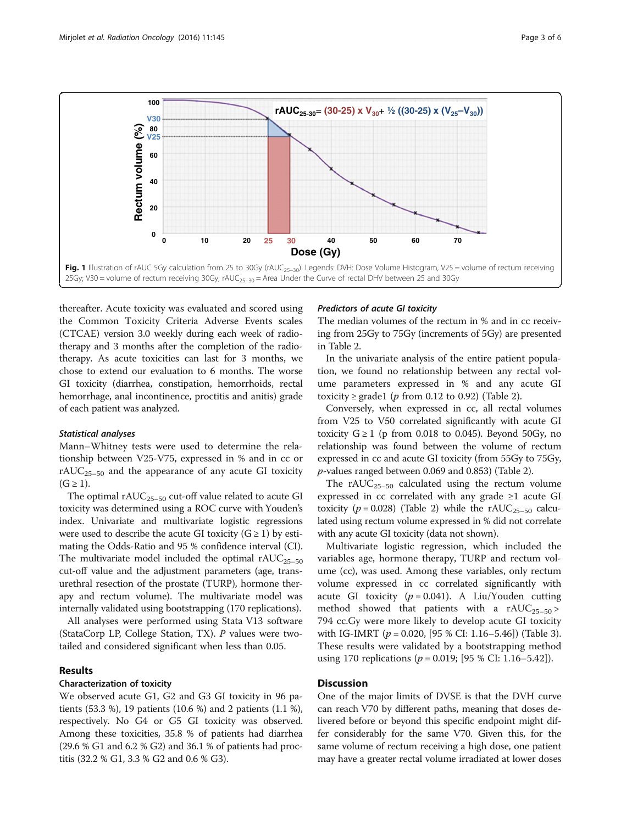<span id="page-2-0"></span>

thereafter. Acute toxicity was evaluated and scored using the Common Toxicity Criteria Adverse Events scales (CTCAE) version 3.0 weekly during each week of radiotherapy and 3 months after the completion of the radiotherapy. As acute toxicities can last for 3 months, we chose to extend our evaluation to 6 months. The worse GI toxicity (diarrhea, constipation, hemorrhoids, rectal hemorrhage, anal incontinence, proctitis and anitis) grade of each patient was analyzed.

### Statistical analyses

Mann–Whitney tests were used to determine the relationship between V25-V75, expressed in % and in cc or  $rAUC_{25-50}$  and the appearance of any acute GI toxicity  $(G \geq 1)$ .

The optimal  $rAUC_{25-50}$  cut-off value related to acute GI toxicity was determined using a ROC curve with Youden's index. Univariate and multivariate logistic regressions were used to describe the acute GI toxicity  $(G \ge 1)$  by estimating the Odds-Ratio and 95 % confidence interval (CI). The multivariate model included the optimal  $rAUC_{25-50}$ cut-off value and the adjustment parameters (age, transurethral resection of the prostate (TURP), hormone therapy and rectum volume). The multivariate model was internally validated using bootstrapping (170 replications).

All analyses were performed using Stata V13 software (StataCorp LP, College Station, TX). P values were twotailed and considered significant when less than 0.05.

## Results

#### Characterization of toxicity

We observed acute G1, G2 and G3 GI toxicity in 96 patients (53.3 %), 19 patients (10.6 %) and 2 patients (1.1 %), respectively. No G4 or G5 GI toxicity was observed. Among these toxicities, 35.8 % of patients had diarrhea (29.6 % G1 and 6.2 % G2) and 36.1 % of patients had proctitis (32.2 % G1, 3.3 % G2 and 0.6 % G3).

## Predictors of acute GI toxicity

The median volumes of the rectum in % and in cc receiving from 25Gy to 75Gy (increments of 5Gy) are presented in Table [2](#page-3-0).

In the univariate analysis of the entire patient population, we found no relationship between any rectal volume parameters expressed in % and any acute GI toxicity ≥ grade1 (*p* from 0.12 to 0.92) (Table [2\)](#page-3-0).

Conversely, when expressed in cc, all rectal volumes from V25 to V50 correlated significantly with acute GI toxicity  $G \ge 1$  (p from 0.018 to 0.045). Beyond 50Gy, no relationship was found between the volume of rectum expressed in cc and acute GI toxicity (from 55Gy to 75Gy, p-values ranged between 0.069 and 0.853) (Table [2\)](#page-3-0).

The  $rAUC_{25-50}$  calculated using the rectum volume expressed in cc correlated with any grade ≥1 acute GI toxicity ( $p = 0.028$ ) (Table [2](#page-3-0)) while the rAUC<sub>25–50</sub> calculated using rectum volume expressed in % did not correlate with any acute GI toxicity (data not shown).

Multivariate logistic regression, which included the variables age, hormone therapy, TURP and rectum volume (cc), was used. Among these variables, only rectum volume expressed in cc correlated significantly with acute GI toxicity ( $p = 0.041$ ). A Liu/Youden cutting method showed that patients with a  $rAUC_{25-50}$ 794 cc.Gy were more likely to develop acute GI toxicity with IG-IMRT ( $p = 0.020$ , [95 % CI: 1.16–5.46]) (Table [3](#page-4-0)). These results were validated by a bootstrapping method using 170 replications ( $p = 0.019$ ; [95 % CI: 1.16–5.42]).

## **Discussion**

One of the major limits of DVSE is that the DVH curve can reach V70 by different paths, meaning that doses delivered before or beyond this specific endpoint might differ considerably for the same V70. Given this, for the same volume of rectum receiving a high dose, one patient may have a greater rectal volume irradiated at lower doses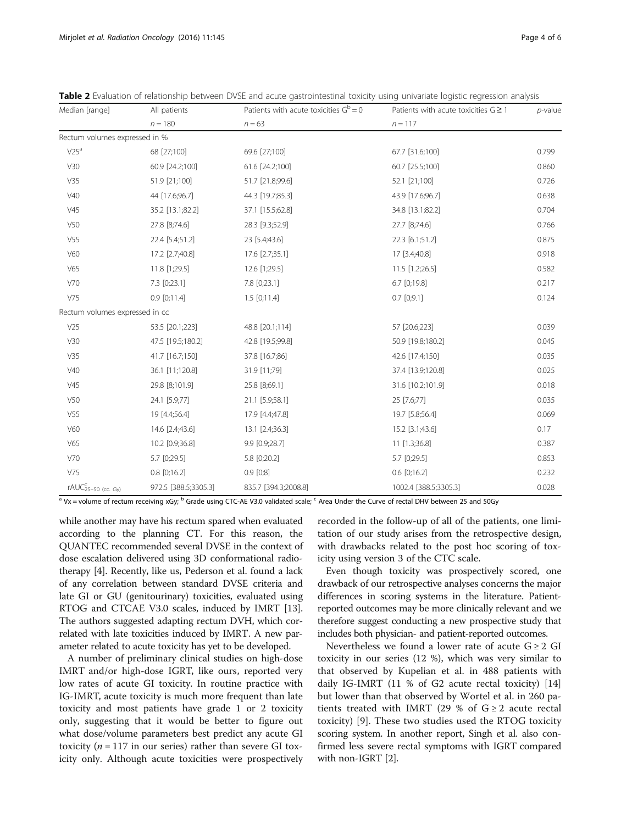<span id="page-3-0"></span>

| Table 2 Evaluation of relationship between DVSE and acute gastrointestinal toxicity using univariate logistic regression analysis |  |
|-----------------------------------------------------------------------------------------------------------------------------------|--|
|-----------------------------------------------------------------------------------------------------------------------------------|--|

| Median [range]                                | All patients         | Patients with acute toxicities $G^b = 0$ | Patients with acute toxicities $G \geq 1$ | $p$ -value |
|-----------------------------------------------|----------------------|------------------------------------------|-------------------------------------------|------------|
|                                               | $n = 180$            | $n = 63$                                 | $n = 117$                                 |            |
| Rectum volumes expressed in %                 |                      |                                          |                                           |            |
| $V25^a$                                       | 68 [27;100]          | 69.6 [27;100]                            | 67.7 [31.6;100]                           | 0.799      |
| V30                                           | 60.9 [24.2;100]      | 61.6 [24.2;100]                          | 60.7 [25.5;100]                           | 0.860      |
| V35                                           | 51.9 [21;100]        | 51.7 [21.8;99.6]                         | 52.1 [21;100]                             | 0.726      |
| V40                                           | 44 [17.6;96.7]       | 44.3 [19.7;85.3]                         | 43.9 [17.6;96.7]                          | 0.638      |
| V45                                           | 35.2 [13.1;82.2]     | 37.1 [15.5;62.8]                         | 34.8 [13.1;82.2]                          | 0.704      |
| V50                                           | 27.8 [8;74.6]        | 28.3 [9.3;52.9]                          | 27.7 [8;74.6]                             | 0.766      |
| V <sub>55</sub>                               | 22.4 [5.4;51.2]      | 23 [5.4;43.6]                            | 22.3 [6.1;51.2]                           | 0.875      |
| V60                                           | 17.2 [2.7;40.8]      | 17.6 [2.7;35.1]                          | 17 [3.4;40.8]                             | 0.918      |
| V65                                           | 11.8 [1;29.5]        | 12.6 [1;29.5]                            | 11.5 [1.2;26.5]                           | 0.582      |
| V70                                           | 7.3 [0;23.1]         | 7.8 [0;23.1]                             | 6.7 [0;19.8]                              | 0.217      |
| V75                                           | $0.9$ [0;11.4]       | $1.5$ [0;11.4]                           | $0.7$ [0;9.1]                             | 0.124      |
| Rectum volumes expressed in cc                |                      |                                          |                                           |            |
| V25                                           | 53.5 [20.1;223]      | 48.8 [20.1;114]                          | 57 [20.6;223]                             | 0.039      |
| V30                                           | 47.5 [19.5;180.2]    | 42.8 [19.5;99.8]                         | 50.9 [19.8;180.2]                         | 0.045      |
| V35                                           | 41.7 [16.7;150]      | 37.8 [16.7;86]                           | 42.6 [17.4;150]                           | 0.035      |
| V40                                           | 36.1 [11;120.8]      | 31.9 [11;79]                             | 37.4 [13.9;120.8]                         | 0.025      |
| V45                                           | 29.8 [8;101.9]       | 25.8 [8;69.1]                            | 31.6 [10.2;101.9]                         | 0.018      |
| V50                                           | 24.1 [5.9;77]        | 21.1 [5.9;58.1]                          | 25 [7.6;77]                               | 0.035      |
| V55                                           | 19 [4.4;56.4]        | 17.9 [4.4;47.8]                          | 19.7 [5.8;56.4]                           | 0.069      |
| V60                                           | 14.6 [2.4;43.6]      | 13.1 [2.4;36.3]                          | 15.2 [3.1;43.6]                           | 0.17       |
| V65                                           | 10.2 [0.9;36.8]      | 9.9 [0.9;28.7]                           | 11 [1.3;36.8]                             | 0.387      |
| V70                                           | 5.7 [0;29.5]         | 5.8 [0;20.2]                             | 5.7 [0;29.5]                              | 0.853      |
| V75                                           | $0.8$ [0;16.2]       | $0.9$ $[0;8]$                            | $0.6$ [0;16.2]                            | 0.232      |
| $r\mathsf{AUC}^{\mathsf{C}}_{25-50}$ (cc. Gy) | 972.5 [388.5;3305.3] | 835.7 [394.3;2008.8]                     | 1002.4 [388.5;3305.3]                     | 0.028      |

<sup>a</sup> Vx = volume of rectum receiving xGy; <sup>b</sup> Grade using CTC-AE V3.0 validated scale; <sup>c</sup> Area Under the Curve of rectal DHV between 25 and 50Gy

while another may have his rectum spared when evaluated according to the planning CT. For this reason, the QUANTEC recommended several DVSE in the context of dose escalation delivered using 3D conformational radiotherapy [\[4\]](#page-5-0). Recently, like us, Pederson et al. found a lack of any correlation between standard DVSE criteria and late GI or GU (genitourinary) toxicities, evaluated using RTOG and CTCAE V3.0 scales, induced by IMRT [[13](#page-5-0)]. The authors suggested adapting rectum DVH, which correlated with late toxicities induced by IMRT. A new parameter related to acute toxicity has yet to be developed.

A number of preliminary clinical studies on high-dose IMRT and/or high-dose IGRT, like ours, reported very low rates of acute GI toxicity. In routine practice with IG-IMRT, acute toxicity is much more frequent than late toxicity and most patients have grade 1 or 2 toxicity only, suggesting that it would be better to figure out what dose/volume parameters best predict any acute GI toxicity ( $n = 117$  in our series) rather than severe GI toxicity only. Although acute toxicities were prospectively

recorded in the follow-up of all of the patients, one limitation of our study arises from the retrospective design, with drawbacks related to the post hoc scoring of toxicity using version 3 of the CTC scale.

Even though toxicity was prospectively scored, one drawback of our retrospective analyses concerns the major differences in scoring systems in the literature. Patientreported outcomes may be more clinically relevant and we therefore suggest conducting a new prospective study that includes both physician- and patient-reported outcomes.

Nevertheless we found a lower rate of acute  $G \geq 2$  GI toxicity in our series (12 %), which was very similar to that observed by Kupelian et al. in 488 patients with daily IG-IMRT (11 % of G2 acute rectal toxicity) [[14](#page-5-0)] but lower than that observed by Wortel et al. in 260 patients treated with IMRT (29 % of  $G \ge 2$  acute rectal toxicity) [\[9](#page-5-0)]. These two studies used the RTOG toxicity scoring system. In another report, Singh et al. also confirmed less severe rectal symptoms with IGRT compared with non-IGRT [\[2](#page-5-0)].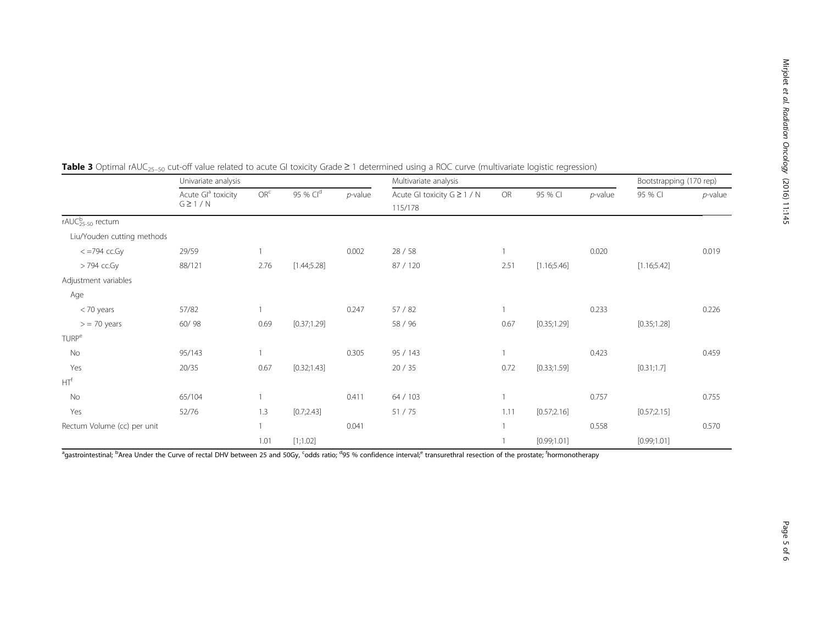|                              | Univariate analysis                            |                 |              | Multivariate analysis |                                        |      |             | Bootstrapping (170 rep) |              |            |
|------------------------------|------------------------------------------------|-----------------|--------------|-----------------------|----------------------------------------|------|-------------|-------------------------|--------------|------------|
|                              | Acute Gl <sup>a</sup> toxicity<br>$G \geq 1/N$ | OR <sup>c</sup> | 95 % Cld     | $p$ -value            | Acute GI toxicity G ≥ 1 / N<br>115/178 | OR   | 95 % CI     | $p$ -value              | 95 % CI      | $p$ -value |
| rAUC <sub>25-50</sub> rectum |                                                |                 |              |                       |                                        |      |             |                         |              |            |
| Liu/Youden cutting methods   |                                                |                 |              |                       |                                        |      |             |                         |              |            |
| $\epsilon$ =794 cc. Gy       | 29/59                                          |                 |              | 0.002                 | 28/58                                  |      |             | 0.020                   |              | 0.019      |
| > 794 cc.Gy                  | 88/121                                         | 2.76            | [1.44; 5.28] |                       | 87 / 120                               | 2.51 | [1.16;5.46] |                         | [1.16; 5.42] |            |
| Adjustment variables         |                                                |                 |              |                       |                                        |      |             |                         |              |            |
| Age                          |                                                |                 |              |                       |                                        |      |             |                         |              |            |
| < 70 years                   | 57/82                                          |                 |              | 0.247                 | 57/82                                  |      |             | 0.233                   |              | 0.226      |
| $>$ = 70 years               | 60/98                                          | 0.69            | [0.37;1.29]  |                       | 58 / 96                                | 0.67 | [0.35;1.29] |                         | [0.35;1.28]  |            |
| <b>TURP<sup>e</sup></b>      |                                                |                 |              |                       |                                        |      |             |                         |              |            |
| No                           | 95/143                                         |                 |              | 0.305                 | 95 / 143                               |      |             | 0.423                   |              | 0.459      |
| Yes                          | 20/35                                          | 0.67            | [0.32;1.43]  |                       | 20/35                                  | 0.72 | [0.33;1.59] |                         | [0.31;1.7]   |            |
| HT <sup>f</sup>              |                                                |                 |              |                       |                                        |      |             |                         |              |            |
| No                           | 65/104                                         |                 |              | 0.411                 | 64 / 103                               |      |             | 0.757                   |              | 0.755      |
| Yes                          | 52/76                                          | 1.3             | [0.7;2.43]   |                       | 51/75                                  | 1.11 | [0.57;2.16] |                         | [0.57;2.15]  |            |
| Rectum Volume (cc) per unit  |                                                | $\mathbf{1}$    |              | 0.041                 |                                        |      |             | 0.558                   |              | 0.570      |
|                              |                                                | 1.01            | [1;1.02]     |                       |                                        |      | [0.99;1.01] |                         | [0.99;1.01]  |            |

<span id="page-4-0"></span>**Table 3** Optimal rAUC<sub>25-50</sub> cut-off value related to acute GI toxicity Grade ≥ 1 determined using a ROC curve (multivariate logistic regression)

<sup>a</sup>gastrointestinal; <sup>b</sup>Area Under the Curve of rectal DHV between 25 and 50Gy, <sup>c</sup>odds ratio; <sup>d</sup>95 % confidence interval;<sup>e</sup> transurethral resection of the prostate; <sup>f</sup>hormonotherapy